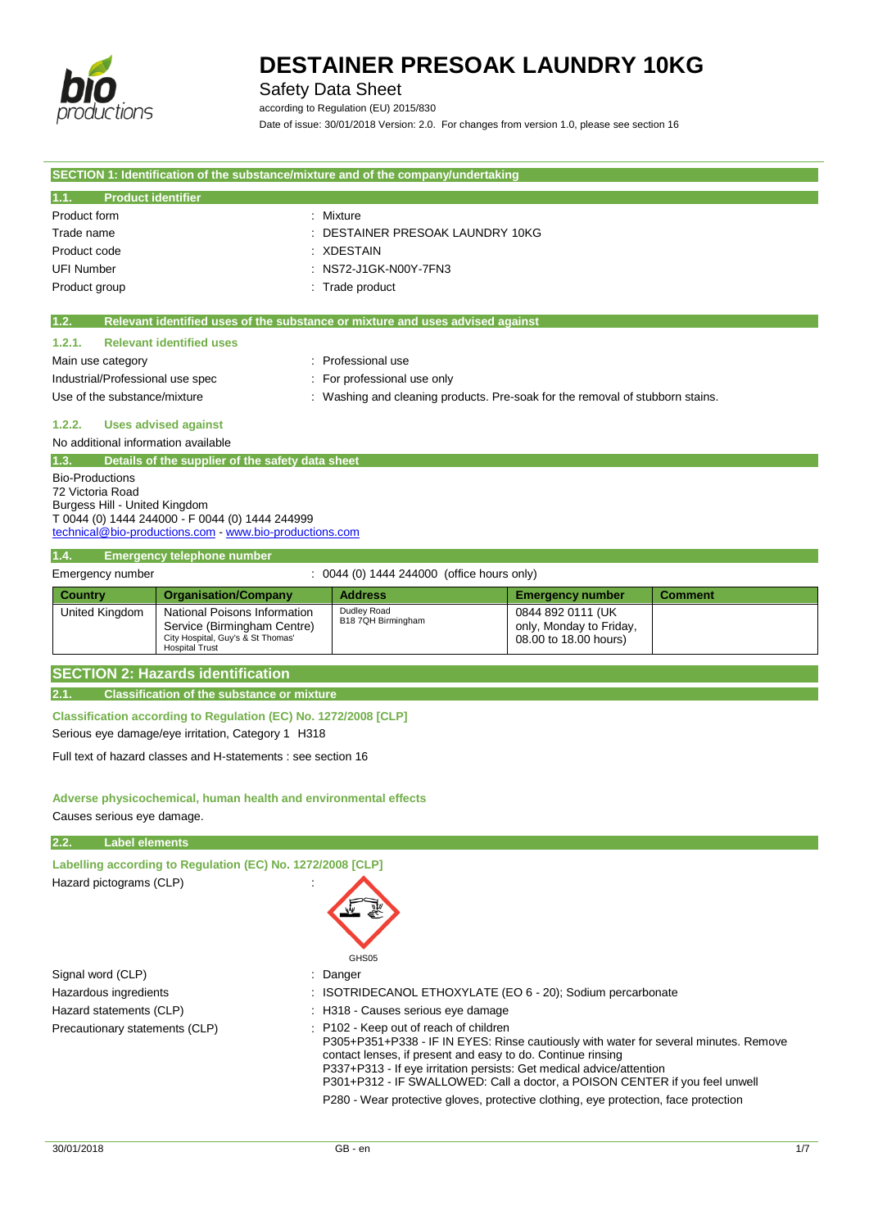

Safety Data Sheet

according to Regulation (EU) 2015/830

Date of issue: 30/01/2018 Version: 2.0. For changes from version 1.0, please see section 16

| SECTION 1: Identification of the substance/mixture and of the company/undertaking |                                                                               |                        |         |
|-----------------------------------------------------------------------------------|-------------------------------------------------------------------------------|------------------------|---------|
| <b>Product identifier</b><br>1.1.                                                 |                                                                               |                        |         |
| Product form                                                                      | : Mixture                                                                     |                        |         |
| Trade name                                                                        | DESTAINER PRESOAK LAUNDRY 10KG                                                |                        |         |
| Product code                                                                      | <b>XDESTAIN</b>                                                               |                        |         |
| <b>UFI Number</b>                                                                 | NS72-J1GK-N00Y-7FN3                                                           |                        |         |
| Product group                                                                     | Trade product                                                                 |                        |         |
| 1.2.                                                                              | Relevant identified uses of the substance or mixture and uses advised against |                        |         |
|                                                                                   |                                                                               |                        |         |
| <b>Relevant identified uses</b><br>1.2.1.                                         |                                                                               |                        |         |
| Main use category                                                                 | Professional use                                                              |                        |         |
| Industrial/Professional use spec                                                  | For professional use only                                                     |                        |         |
| Use of the substance/mixture                                                      | : Washing and cleaning products. Pre-soak for the removal of stubborn stains. |                        |         |
| <b>Uses advised against</b><br>1.2.2.                                             |                                                                               |                        |         |
| No additional information available                                               |                                                                               |                        |         |
| Details of the supplier of the safety data sheet<br>1.3.                          |                                                                               |                        |         |
| <b>Bio-Productions</b>                                                            |                                                                               |                        |         |
| 72 Victoria Road                                                                  |                                                                               |                        |         |
| Burgess Hill - United Kingdom<br>T 0044 (0) 1444 244000 - F 0044 (0) 1444 244999  |                                                                               |                        |         |
| technical@bio-productions.com - www.bio-productions.com                           |                                                                               |                        |         |
|                                                                                   |                                                                               |                        |         |
| 1.4.<br><b>Emergency telephone number</b>                                         |                                                                               |                        |         |
| Emergency number                                                                  | $\therefore$ 0044 (0) 1444 244000 (office hours only)                         |                        |         |
| Carmina.<br>Overanteation (Commany                                                | Address.                                                                      | Emanuaran at primalant | Command |

| Country        | <b>Organisation/Company</b>                                                                                               | <b>Address</b>                    | <b>Emergency number</b>                                               | <b>Comment</b> |
|----------------|---------------------------------------------------------------------------------------------------------------------------|-----------------------------------|-----------------------------------------------------------------------|----------------|
| United Kingdom | National Poisons Information<br>Service (Birmingham Centre)<br>City Hospital, Guy's & St Thomas'<br><b>Hospital Trust</b> | Dudley Road<br>B18 7QH Birmingham | 0844 892 0111 (UK<br>only, Monday to Friday,<br>08.00 to 18.00 hours) |                |

**SECTION 2: Hazards identification**

**2.1. Classification of the substance or mixture**

**Classification according to Regulation (EC) No. 1272/2008 [CLP]**

Serious eye damage/eye irritation, Category 1 H318

Full text of hazard classes and H-statements : see section 16

**Adverse physicochemical, human health and environmental effects** Causes serious eye damage.

| 2.2.<br><b>Label elements</b>                              |                                                                                                                                                                                                                                                                                                                                                                                                                                             |
|------------------------------------------------------------|---------------------------------------------------------------------------------------------------------------------------------------------------------------------------------------------------------------------------------------------------------------------------------------------------------------------------------------------------------------------------------------------------------------------------------------------|
| Labelling according to Regulation (EC) No. 1272/2008 [CLP] |                                                                                                                                                                                                                                                                                                                                                                                                                                             |
| Hazard pictograms (CLP)                                    | GHS05                                                                                                                                                                                                                                                                                                                                                                                                                                       |
| Signal word (CLP)                                          | : Danger                                                                                                                                                                                                                                                                                                                                                                                                                                    |
| Hazardous ingredients                                      | : ISOTRIDECANOL ETHOXYLATE (EO 6 - 20); Sodium percarbonate                                                                                                                                                                                                                                                                                                                                                                                 |
| Hazard statements (CLP)                                    | : H318 - Causes serious eye damage                                                                                                                                                                                                                                                                                                                                                                                                          |
| Precautionary statements (CLP)                             | : P102 - Keep out of reach of children<br>P305+P351+P338 - IF IN EYES: Rinse cautiously with water for several minutes. Remove<br>contact lenses, if present and easy to do. Continue rinsing<br>P337+P313 - If eye irritation persists: Get medical advice/attention<br>P301+P312 - IF SWALLOWED: Call a doctor, a POISON CENTER if you feel unwell<br>P280 - Wear protective gloves, protective clothing, eye protection, face protection |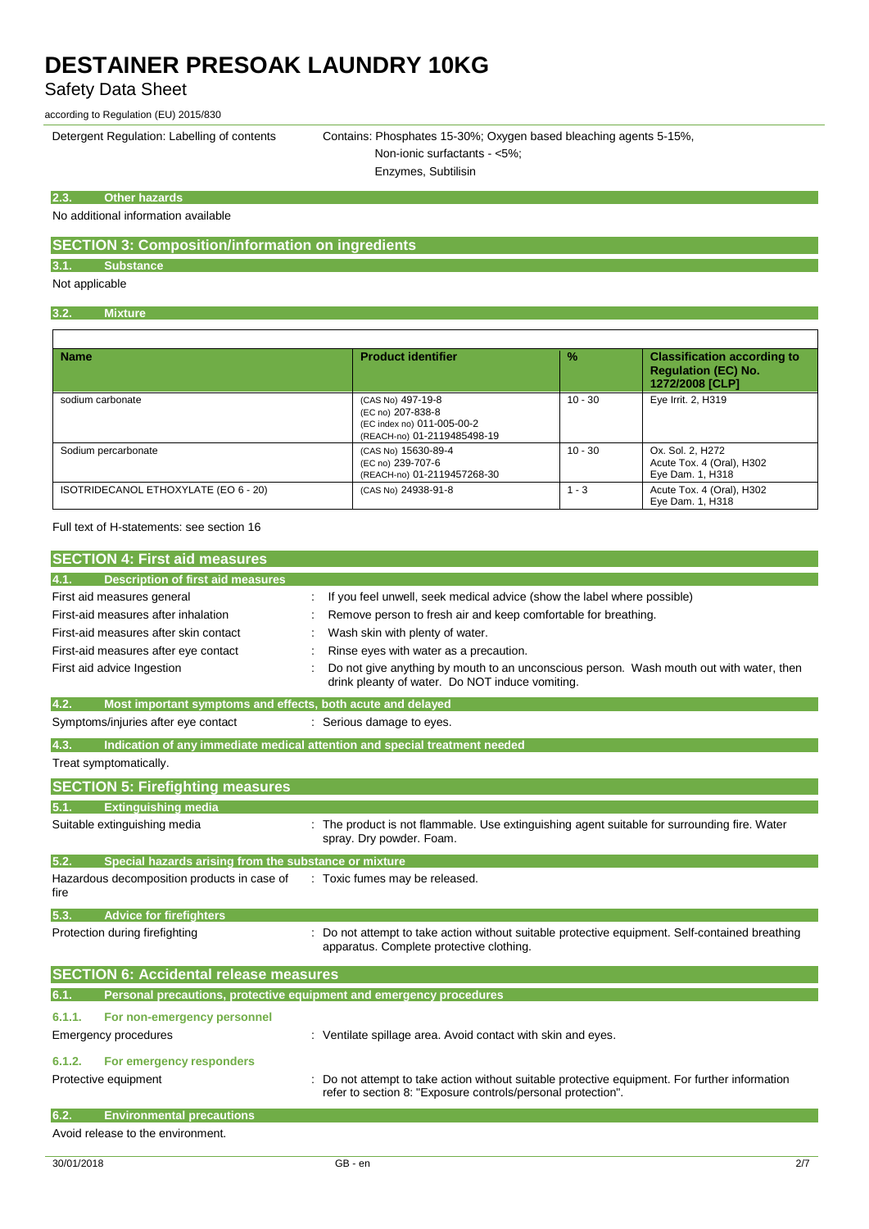Safety Data Sheet

according to Regulation (EU) 2015/830

Detergent Regulation: Labelling of contents Contains: Phosphates 15-30%; Oxygen based bleaching agents 5-15%, Non-ionic surfactants - <5%;

Enzymes, Subtilisin

#### **2.3. Other hazards**

No additional information available

## **SECTION 3: Composition/information on ingredients**

## **3.1. Substance**

Not applicable

### **3.2. Mixture**

| <b>Name</b>                          | <b>Product identifier</b>                                                                           | $\frac{9}{6}$ | <b>Classification according to</b><br><b>Requlation (EC) No.</b><br>1272/2008 [CLP] |
|--------------------------------------|-----------------------------------------------------------------------------------------------------|---------------|-------------------------------------------------------------------------------------|
| sodium carbonate                     | (CAS No) 497-19-8<br>(EC no) 207-838-8<br>(EC index no) 011-005-00-2<br>(REACH-no) 01-2119485498-19 | $10 - 30$     | Eye Irrit. 2, H319                                                                  |
| Sodium percarbonate                  | (CAS No) 15630-89-4<br>(EC no) 239-707-6<br>(REACH-no) 01-2119457268-30                             | $10 - 30$     | Ox. Sol. 2, H272<br>Acute Tox. 4 (Oral), H302<br>Eye Dam. 1, H318                   |
| ISOTRIDECANOL ETHOXYLATE (EO 6 - 20) | (CAS No) 24938-91-8                                                                                 | $1 - 3$       | Acute Tox. 4 (Oral), H302<br>Eye Dam. 1, H318                                       |

#### Full text of H-statements: see section 16

| <b>SECTION 4: First aid measures</b> |  |
|--------------------------------------|--|
|--------------------------------------|--|

| <b>Description of first aid measures</b><br>4.1.                            |                                                                                                                                                              |
|-----------------------------------------------------------------------------|--------------------------------------------------------------------------------------------------------------------------------------------------------------|
| First aid measures general                                                  | If you feel unwell, seek medical advice (show the label where possible)                                                                                      |
| First-aid measures after inhalation                                         | Remove person to fresh air and keep comfortable for breathing.                                                                                               |
| First-aid measures after skin contact                                       | Wash skin with plenty of water.                                                                                                                              |
| First-aid measures after eye contact                                        | Rinse eyes with water as a precaution.                                                                                                                       |
| First aid advice Ingestion                                                  | Do not give anything by mouth to an unconscious person. Wash mouth out with water, then<br>drink pleanty of water. Do NOT induce vomiting.                   |
| 4.2.<br>Most important symptoms and effects, both acute and delayed         |                                                                                                                                                              |
| Symptoms/injuries after eye contact                                         | : Serious damage to eyes.                                                                                                                                    |
| 4.3.                                                                        | Indication of any immediate medical attention and special treatment needed                                                                                   |
| Treat symptomatically.                                                      |                                                                                                                                                              |
| <b>SECTION 5: Firefighting measures</b>                                     |                                                                                                                                                              |
| <b>Extinguishing media</b><br>5.1.                                          |                                                                                                                                                              |
| Suitable extinguishing media                                                | The product is not flammable. Use extinguishing agent suitable for surrounding fire. Water<br>spray. Dry powder. Foam.                                       |
| Special hazards arising from the substance or mixture<br>5.2.               |                                                                                                                                                              |
| Hazardous decomposition products in case of<br>fire                         | : Toxic fumes may be released.                                                                                                                               |
| 5.3.<br><b>Advice for firefighters</b>                                      |                                                                                                                                                              |
| Protection during firefighting                                              | Do not attempt to take action without suitable protective equipment. Self-contained breathing<br>apparatus. Complete protective clothing.                    |
| <b>SECTION 6: Accidental release measures</b>                               |                                                                                                                                                              |
| 6.1.<br>Personal precautions, protective equipment and emergency procedures |                                                                                                                                                              |
| 6.1.1.<br>For non-emergency personnel                                       |                                                                                                                                                              |
| <b>Emergency procedures</b>                                                 | : Ventilate spillage area. Avoid contact with skin and eyes.                                                                                                 |
| 6.1.2.<br>For emergency responders                                          |                                                                                                                                                              |
| Protective equipment                                                        | Do not attempt to take action without suitable protective equipment. For further information<br>refer to section 8: "Exposure controls/personal protection". |
| 6.2.<br><b>Environmental precautions</b>                                    |                                                                                                                                                              |
| Avoid release to the environment.                                           |                                                                                                                                                              |

1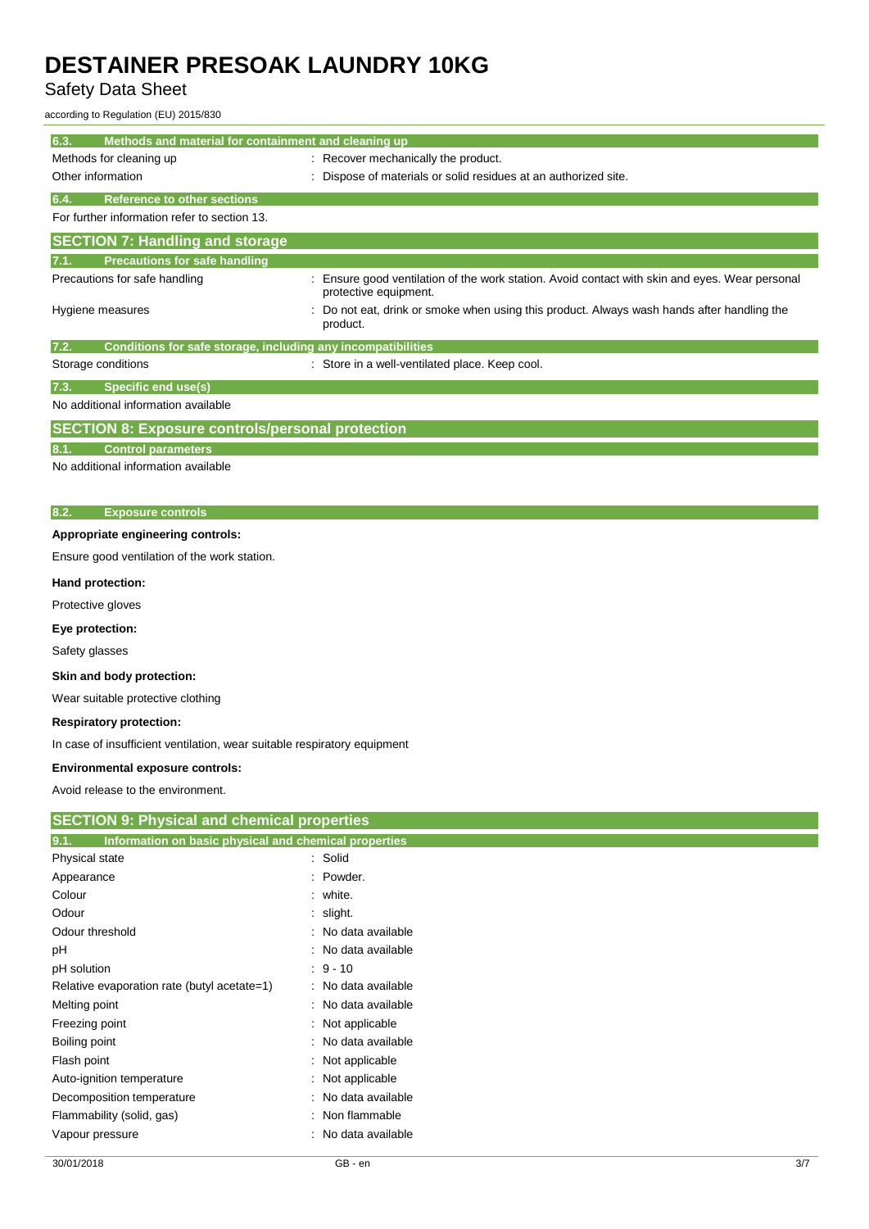Safety Data Sheet

according to Regulation (EU) 2015/830

| 6.3.<br>Methods and material for containment and cleaning up         |                                                                                                                       |
|----------------------------------------------------------------------|-----------------------------------------------------------------------------------------------------------------------|
| Methods for cleaning up                                              | Recover mechanically the product.                                                                                     |
| Other information                                                    | Dispose of materials or solid residues at an authorized site.                                                         |
| <b>Reference to other sections</b><br>6.4.                           |                                                                                                                       |
| For further information refer to section 13.                         |                                                                                                                       |
| <b>SECTION 7: Handling and storage</b>                               |                                                                                                                       |
| <b>Precautions for safe handling</b>                                 |                                                                                                                       |
| Precautions for safe handling                                        | Ensure good ventilation of the work station. Avoid contact with skin and eyes. Wear personal<br>protective equipment. |
| Hygiene measures                                                     | Do not eat, drink or smoke when using this product. Always wash hands after handling the<br>product.                  |
| Conditions for safe storage, including any incompatibilities<br>7.2. |                                                                                                                       |
| Storage conditions                                                   | Store in a well-ventilated place. Keep cool.                                                                          |
| Specific end use(s)<br>7.3.                                          |                                                                                                                       |
| No additional information available                                  |                                                                                                                       |
| <b>SECTION 8: Exposure controls/personal protection</b>              |                                                                                                                       |
| <b>Control parameters</b><br>8.1.                                    |                                                                                                                       |
| No additional information available                                  |                                                                                                                       |
|                                                                      |                                                                                                                       |
| 8.2.<br><b>Exposure controls</b>                                     |                                                                                                                       |
| Appropriate engineering controls:                                    |                                                                                                                       |
| Ensure good ventilation of the work station.                         |                                                                                                                       |
| Hand protection:                                                     |                                                                                                                       |
| Protective gloves                                                    |                                                                                                                       |
| Eye protection:                                                      |                                                                                                                       |
| Safety glasses                                                       |                                                                                                                       |
| Skin and body protection:                                            |                                                                                                                       |
| Wear suitable protective clothing                                    |                                                                                                                       |
| <b>Respiratory protection:</b>                                       |                                                                                                                       |

In case of insufficient ventilation, wear suitable respiratory equipment

## **Environmental exposure controls:**

Avoid release to the environment.

| <b>SECTION 9: Physical and chemical properties</b>            |                     |  |
|---------------------------------------------------------------|---------------------|--|
| Information on basic physical and chemical properties<br>9.1. |                     |  |
| Physical state                                                | : Solid             |  |
| Appearance                                                    | : Powder.           |  |
| Colour                                                        | : white.            |  |
| Odour                                                         | $:$ slight.         |  |
| Odour threshold                                               | : No data available |  |
| рH                                                            | : No data available |  |
| pH solution                                                   | $: 9 - 10$          |  |
| Relative evaporation rate (butyl acetate=1)                   | : No data available |  |
| Melting point                                                 | : No data available |  |
| Freezing point                                                | : Not applicable    |  |
| Boiling point                                                 | : No data available |  |
| Flash point                                                   | : Not applicable    |  |
| Auto-ignition temperature                                     | : Not applicable    |  |
| Decomposition temperature                                     | : No data available |  |
| Flammability (solid, gas)                                     | : Non flammable     |  |
| Vapour pressure                                               | : No data available |  |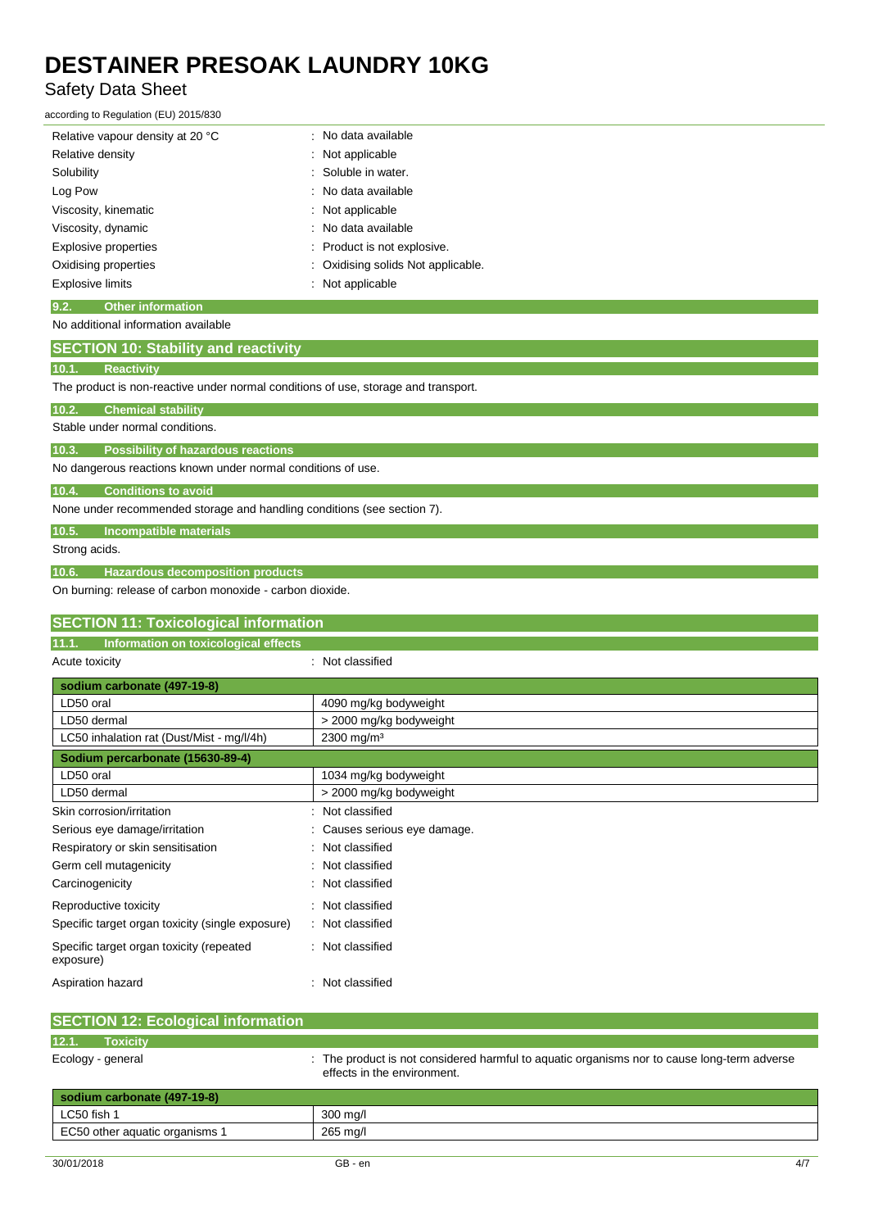# Safety Data Sheet

according to Regulation (EU) 2015/830

| Relative vapour density at 20 °C | : No data available                |
|----------------------------------|------------------------------------|
| Relative density                 | : Not applicable                   |
| Solubility                       | : Soluble in water.                |
| Log Pow                          | : No data available                |
| Viscosity, kinematic             | : Not applicable                   |
| Viscosity, dynamic               | : No data available                |
| Explosive properties             | Product is not explosive.          |
| Oxidising properties             | : Oxidising solids Not applicable. |
| Explosive limits                 | Not applicable<br>٠                |

#### **9.2. Other information** No additional information available

| No additional information available                                                |
|------------------------------------------------------------------------------------|
| <b>SECTION 10: Stability and reactivity</b>                                        |
| <b>Reactivity</b><br>10.1.                                                         |
| The product is non-reactive under normal conditions of use, storage and transport. |
| 10.2.<br><b>Chemical stability</b>                                                 |
| Stable under normal conditions.                                                    |
| 10.3.<br><b>Possibility of hazardous reactions</b>                                 |
| No dangerous reactions known under normal conditions of use.                       |
| <b>Conditions to avoid</b><br>10.4.                                                |
| None under recommended storage and handling conditions (see section 7).            |
| <b>Incompatible materials</b><br>10.5.                                             |
| Strong acids.                                                                      |
| <b>Hazardous decomposition products</b><br>10.6.                                   |

On burning: release of carbon monoxide - carbon dioxide.

Aspiration hazard **in the set of the set of the set of the set of the set of the set of the set of the set of the set of the set of the set of the set of the set of the set of the set of the set of the set of the set of th** 

| <b>SECTION 11: Toxicological information</b>          |                            |
|-------------------------------------------------------|----------------------------|
| 11.1.<br>Information on toxicological effects         |                            |
| Acute toxicity                                        | : Not classified           |
| sodium carbonate (497-19-8)                           |                            |
| LD50 oral                                             | 4090 mg/kg bodyweight      |
| LD50 dermal                                           | > 2000 mg/kg bodyweight    |
| LC50 inhalation rat (Dust/Mist - mg/l/4h)             | 2300 mg/m <sup>3</sup>     |
| Sodium percarbonate (15630-89-4)                      |                            |
| LD50 oral                                             | 1034 mg/kg bodyweight      |
| LD50 dermal                                           | > 2000 mg/kg bodyweight    |
| Skin corrosion/irritation                             | Not classified<br>÷        |
| Serious eye damage/irritation                         | Causes serious eye damage. |
| Respiratory or skin sensitisation                     | Not classified<br>۰.       |
| Germ cell mutagenicity                                | Not classified<br>÷        |
| Carcinogenicity                                       | : Not classified           |
| Reproductive toxicity                                 | Not classified<br>÷        |
| Specific target organ toxicity (single exposure)      | : Not classified           |
| Specific target organ toxicity (repeated<br>exposure) | Not classified<br>÷        |

| <b>SECTION 12: Ecological information</b> |                                                                                                                            |
|-------------------------------------------|----------------------------------------------------------------------------------------------------------------------------|
| 12.1.<br><b>Toxicity</b>                  |                                                                                                                            |
| Ecology - general                         | : The product is not considered harmful to aquatic organisms nor to cause long-term adverse<br>effects in the environment. |
| sodium carbonate (497-19-8)               |                                                                                                                            |
| LC50 fish 1                               | 300 mg/l                                                                                                                   |
| EC50 other aquatic organisms 1            | 265 mg/l                                                                                                                   |
|                                           |                                                                                                                            |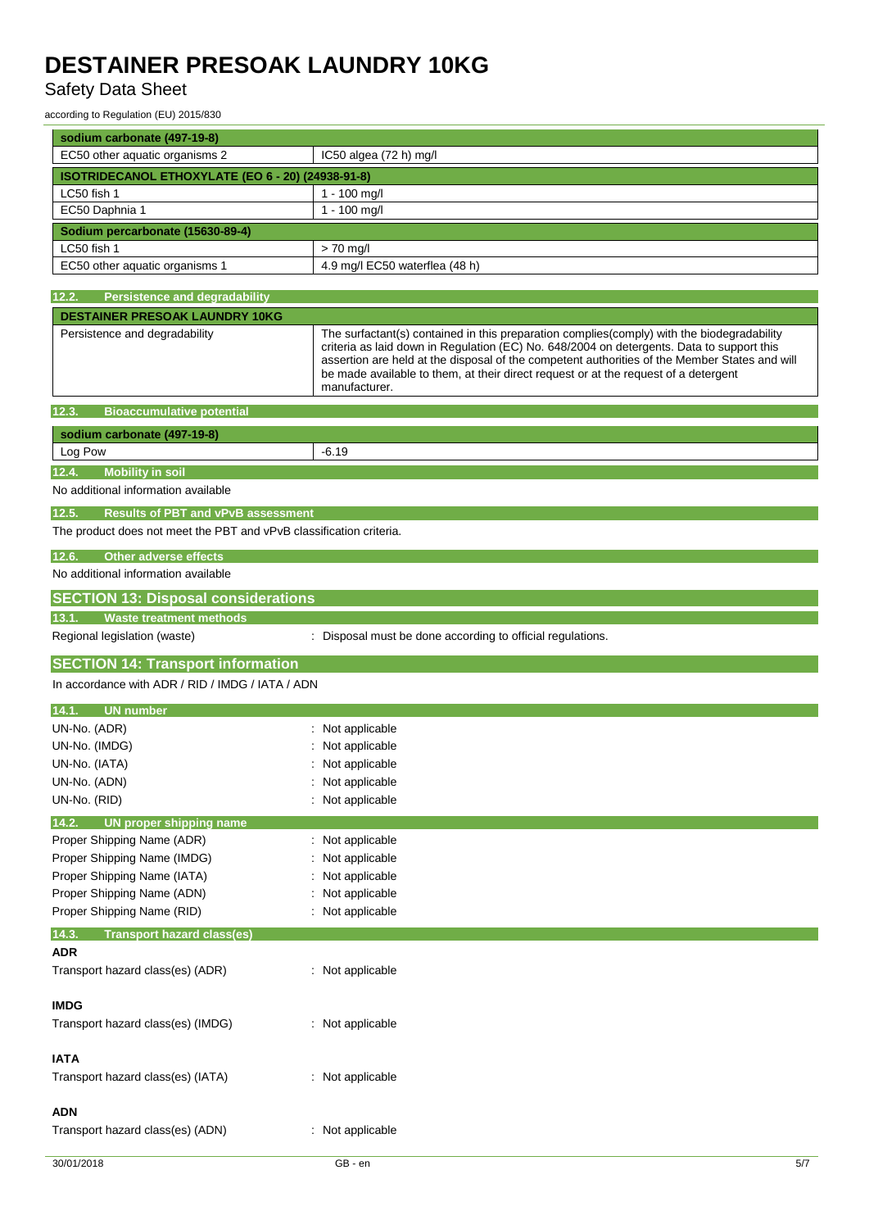# Safety Data Sheet

| according to Regulation (EU) 2015/830                               |                                                                                                                                                                                                                                                                                                                                                                                                  |
|---------------------------------------------------------------------|--------------------------------------------------------------------------------------------------------------------------------------------------------------------------------------------------------------------------------------------------------------------------------------------------------------------------------------------------------------------------------------------------|
| sodium carbonate (497-19-8)                                         |                                                                                                                                                                                                                                                                                                                                                                                                  |
| EC50 other aquatic organisms 2                                      | IC50 algea (72 h) mg/l                                                                                                                                                                                                                                                                                                                                                                           |
| ISOTRIDECANOL ETHOXYLATE (EO 6 - 20) (24938-91-8)                   |                                                                                                                                                                                                                                                                                                                                                                                                  |
| LC50 fish 1                                                         | 1 - 100 mg/l                                                                                                                                                                                                                                                                                                                                                                                     |
| EC50 Daphnia 1                                                      | 1 - 100 mg/l                                                                                                                                                                                                                                                                                                                                                                                     |
| Sodium percarbonate (15630-89-4)                                    |                                                                                                                                                                                                                                                                                                                                                                                                  |
| LC50 fish 1                                                         | $> 70$ mg/l                                                                                                                                                                                                                                                                                                                                                                                      |
| EC50 other aquatic organisms 1                                      | 4.9 mg/l EC50 waterflea (48 h)                                                                                                                                                                                                                                                                                                                                                                   |
|                                                                     |                                                                                                                                                                                                                                                                                                                                                                                                  |
| 12.2.<br><b>Persistence and degradability</b>                       |                                                                                                                                                                                                                                                                                                                                                                                                  |
| <b>DESTAINER PRESOAK LAUNDRY 10KG</b>                               |                                                                                                                                                                                                                                                                                                                                                                                                  |
| Persistence and degradability                                       | The surfactant(s) contained in this preparation complies(comply) with the biodegradability<br>criteria as laid down in Regulation (EC) No. 648/2004 on detergents. Data to support this<br>assertion are held at the disposal of the competent authorities of the Member States and will<br>be made available to them, at their direct request or at the request of a detergent<br>manufacturer. |
| 12.3.<br><b>Bioaccumulative potential</b>                           |                                                                                                                                                                                                                                                                                                                                                                                                  |
| sodium carbonate (497-19-8)                                         |                                                                                                                                                                                                                                                                                                                                                                                                  |
| Log Pow                                                             | -6.19                                                                                                                                                                                                                                                                                                                                                                                            |
| <b>Mobility in soil</b><br>12.4.                                    |                                                                                                                                                                                                                                                                                                                                                                                                  |
| No additional information available                                 |                                                                                                                                                                                                                                                                                                                                                                                                  |
| 12.5.<br><b>Results of PBT and vPvB assessment</b>                  |                                                                                                                                                                                                                                                                                                                                                                                                  |
| The product does not meet the PBT and vPvB classification criteria. |                                                                                                                                                                                                                                                                                                                                                                                                  |
|                                                                     |                                                                                                                                                                                                                                                                                                                                                                                                  |
| 12.6.<br><b>Other adverse effects</b>                               |                                                                                                                                                                                                                                                                                                                                                                                                  |
| No additional information available                                 |                                                                                                                                                                                                                                                                                                                                                                                                  |
| <b>SECTION 13: Disposal considerations</b>                          |                                                                                                                                                                                                                                                                                                                                                                                                  |
| 13.1.<br><b>Waste treatment methods</b>                             |                                                                                                                                                                                                                                                                                                                                                                                                  |
| Regional legislation (waste)                                        | : Disposal must be done according to official regulations.                                                                                                                                                                                                                                                                                                                                       |
| <b>SECTION 14: Transport information</b>                            |                                                                                                                                                                                                                                                                                                                                                                                                  |
| In accordance with ADR / RID / IMDG / IATA / ADN                    |                                                                                                                                                                                                                                                                                                                                                                                                  |
|                                                                     |                                                                                                                                                                                                                                                                                                                                                                                                  |
| 14.1.<br><b>UN number</b>                                           |                                                                                                                                                                                                                                                                                                                                                                                                  |
| UN-No. (ADR)                                                        | : Not applicable                                                                                                                                                                                                                                                                                                                                                                                 |
| UN-No. (IMDG)                                                       | : Not applicable                                                                                                                                                                                                                                                                                                                                                                                 |
| UN-No. (IATA)                                                       | : Not applicable                                                                                                                                                                                                                                                                                                                                                                                 |
| UN-No. (ADN)                                                        | : Not applicable                                                                                                                                                                                                                                                                                                                                                                                 |
| UN-No. (RID)                                                        | : Not applicable                                                                                                                                                                                                                                                                                                                                                                                 |
| 14.2.<br><b>UN proper shipping name</b>                             |                                                                                                                                                                                                                                                                                                                                                                                                  |
| Proper Shipping Name (ADR)                                          | : Not applicable                                                                                                                                                                                                                                                                                                                                                                                 |
| Proper Shipping Name (IMDG)                                         | Not applicable                                                                                                                                                                                                                                                                                                                                                                                   |
| Proper Shipping Name (IATA)                                         | Not applicable                                                                                                                                                                                                                                                                                                                                                                                   |
| Proper Shipping Name (ADN)                                          | Not applicable                                                                                                                                                                                                                                                                                                                                                                                   |
| Proper Shipping Name (RID)                                          | : Not applicable                                                                                                                                                                                                                                                                                                                                                                                 |
| 14.3.<br><b>Transport hazard class(es)</b><br><b>ADR</b>            |                                                                                                                                                                                                                                                                                                                                                                                                  |
| Transport hazard class(es) (ADR)                                    | : Not applicable                                                                                                                                                                                                                                                                                                                                                                                 |
|                                                                     |                                                                                                                                                                                                                                                                                                                                                                                                  |
| <b>IMDG</b>                                                         |                                                                                                                                                                                                                                                                                                                                                                                                  |
| Transport hazard class(es) (IMDG)                                   | : Not applicable                                                                                                                                                                                                                                                                                                                                                                                 |
|                                                                     |                                                                                                                                                                                                                                                                                                                                                                                                  |
| <b>IATA</b>                                                         |                                                                                                                                                                                                                                                                                                                                                                                                  |
| Transport hazard class(es) (IATA)                                   | : Not applicable                                                                                                                                                                                                                                                                                                                                                                                 |

### **ADN**

| Transport hazard class(es) (ADN) |  |  |
|----------------------------------|--|--|

: Not applicable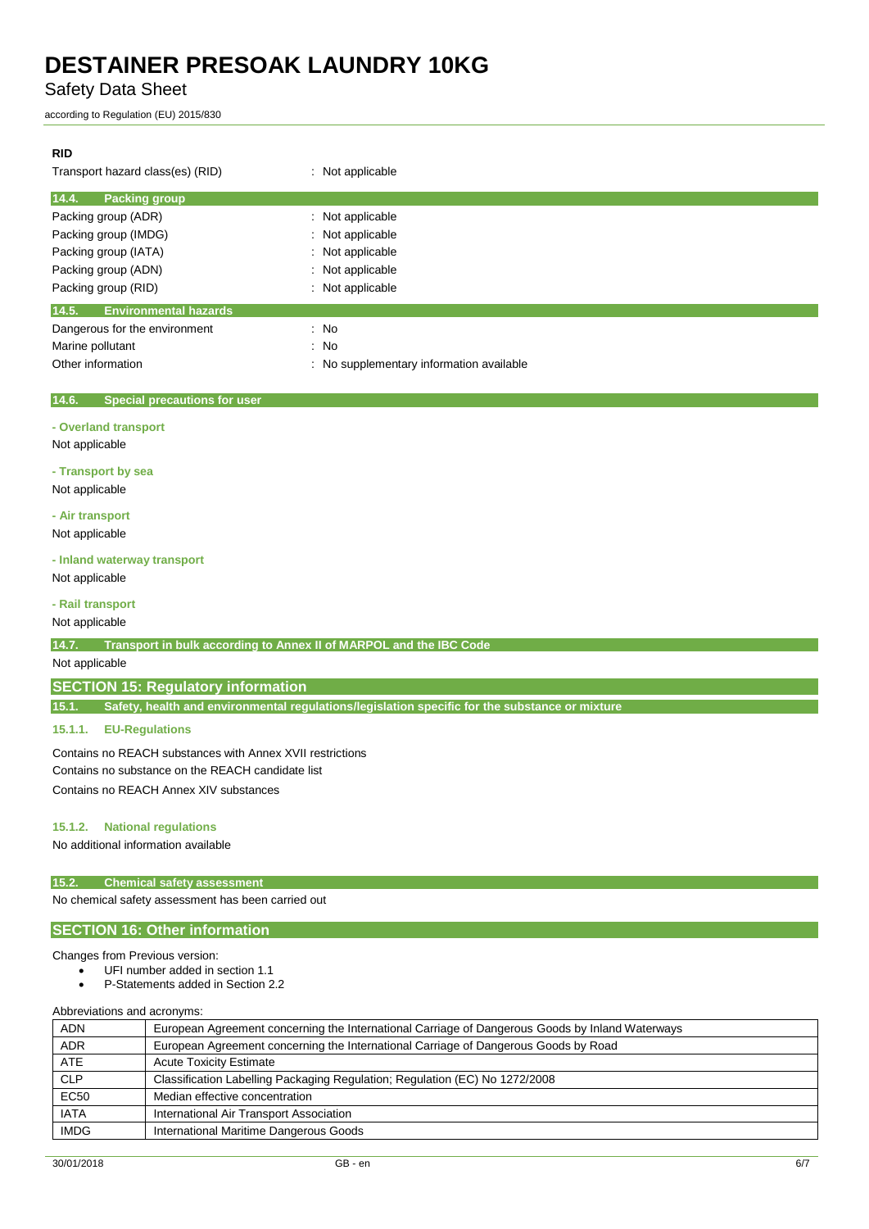Safety Data Sheet

according to Regulation (EU) 2015/830

### **RID**

| Transport hazard class(es) (RID)      | : Not applicable                         |  |
|---------------------------------------|------------------------------------------|--|
| 14.4.<br><b>Packing group</b>         |                                          |  |
| Packing group (ADR)                   | : Not applicable                         |  |
| Packing group (IMDG)                  | : Not applicable                         |  |
| Packing group (IATA)                  | : Not applicable                         |  |
| Packing group (ADN)                   | : Not applicable                         |  |
| Packing group (RID)                   | Not applicable                           |  |
| 14.5.<br><b>Environmental hazards</b> |                                          |  |
| Dangerous for the environment         | : No                                     |  |
| Marine pollutant                      | : No                                     |  |
| Other information                     | : No supplementary information available |  |

#### **14.6. Special precautions for user**

#### **- Overland transport**

Not applicable

#### **- Transport by sea**

Not applicable

**- Air transport**

Not applicable

#### **- Inland waterway transport**

Not applicable

### **- Rail transport**

Not applicable

#### **14.7. Transport in bulk according to Annex II of MARPOL and the IBC Code**

### Not applicable

### **SECTION 15: Regulatory information**

**15.1. Safety, health and environmental regulations/legislation specific for the substance or mixture**

#### **15.1.1. EU-Regulations**

Contains no REACH substances with Annex XVII restrictions Contains no substance on the REACH candidate list Contains no REACH Annex XIV substances

#### **15.1.2. National regulations**

No additional information available

#### **15.2. Chemical safety assessment**

No chemical safety assessment has been carried out

## **SECTION 16: Other information**

#### Changes from Previous version:

- UFI number added in section 1.1
- P-Statements added in Section 2.2

Abbreviations and acronyms:

| <b>ADN</b>  | European Agreement concerning the International Carriage of Dangerous Goods by Inland Waterways |  |
|-------------|-------------------------------------------------------------------------------------------------|--|
| <b>ADR</b>  | European Agreement concerning the International Carriage of Dangerous Goods by Road             |  |
| <b>ATE</b>  | <b>Acute Toxicity Estimate</b>                                                                  |  |
| <b>CLP</b>  | Classification Labelling Packaging Regulation; Regulation (EC) No 1272/2008                     |  |
| <b>EC50</b> | Median effective concentration                                                                  |  |
| <b>IATA</b> | International Air Transport Association                                                         |  |
| <b>IMDG</b> | International Maritime Dangerous Goods                                                          |  |